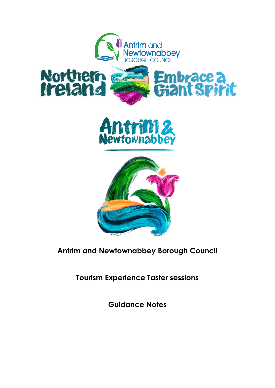



# **Antrim and Newtownabbey Borough Council**

**Tourism Experience Taster sessions** 

**Guidance Notes**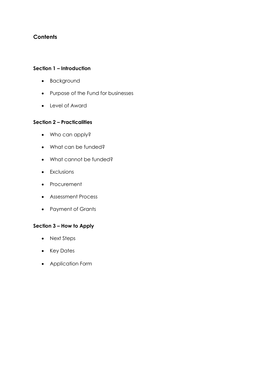# **Contents**

#### **Section 1 – Introduction**

- Background
- Purpose of the Fund for businesses
- Level of Award

#### **Section 2 – Practicalities**

- Who can apply?
- What can be funded?
- What cannot be funded?
- **•** Exclusions
- Procurement
- Assessment Process
- Payment of Grants

## **Section 3 – How to Apply**

- Next Steps
- Key Dates
- Application Form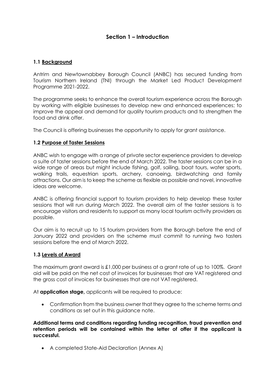## **Section 1 – Introduction**

#### **1.1 Background**

Antrim and Newtownabbey Borough Council (ANBC) has secured funding from Tourism Northern Ireland (TNI) through the Market Led Product Development Programme 2021-2022.

The programme seeks to enhance the overall tourism experience across the Borough by working with eligible businesses to develop new and enhanced experiences; to improve the appeal and demand for quality tourism products and to strengthen the food and drink offer.

The Council is offering businesses the opportunity to apply for grant assistance.

#### **1.2 Purpose of Taster Sessions**

ANBC wish to engage with a range of private sector experience providers to develop a suite of taster sessions before the end of March 2022. The taster sessions can be in a wide range of areas but might include fishing, golf, sailing, boat tours, water sports, walking trails, equestrian sports, archery, canoeing, birdwatching and family attractions. Our aim is to keep the scheme as flexible as possible and novel, innovative ideas are welcome.

ANBC is offering financial support to tourism providers to help develop these taster sessions that will run during March 2022. The overall aim of the taster sessions is to encourage visitors and residents to support as many local tourism activity providers as possible.

Our aim is to recruit up to 15 tourism providers from the Borough before the end of January 2022 and providers on the scheme must commit to running two tasters sessions before the end of March 2022.

#### **1.3 Levels of Award**

The maximum grant award is £1,000 per business at a grant rate of up to 100%. Grant aid will be paid on the net cost of invoices for businesses that are VAT registered and the gross cost of invoices for businesses that are not VAT registered.

At **application stage,** applicants will be required to produce:

 Confirmation from the business owner that they agree to the scheme terms and conditions as set out in this guidance note.

**Additional terms and conditions regarding funding recognition, fraud prevention and retention periods will be contained within the letter of offer if the applicant is successful.**

A completed State-Aid Declaration (Annex A)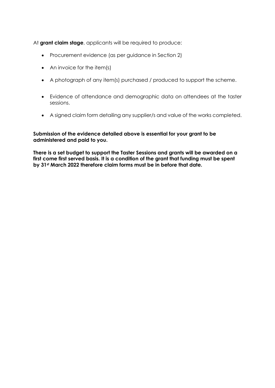At **grant claim stage**, applicants will be required to produce:

- Procurement evidence (as per guidance in Section 2)
- An invoice for the item(s)
- A photograph of any item(s) purchased / produced to support the scheme.
- Evidence of attendance and demographic data on attendees at the taster sessions.
- A signed claim form detailing any supplier/s and value of the works completed.

#### **Submission of the evidence detailed above is essential for your grant to be administered and paid to you.**

**There is a set budget to support the Taster Sessions and grants will be awarded on a first come first served basis. It is a condition of the grant that funding must be spent by 31st March 2022 therefore claim forms must be in before that date.**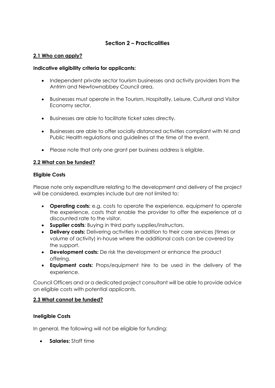# **Section 2 – Practicalities**

#### **2.1 Who can apply?**

#### **Indicative eligibility criteria for applicants:**

- Independent private sector tourism businesses and activity providers from the Antrim and Newtownabbey Council area.
- Businesses must operate in the Tourism, Hospitality, Leisure, Cultural and Visitor Economy sector.
- Businesses are able to facilitate ticket sales directly.
- Businesses are able to offer socially distanced activities compliant with NI and Public Health regulations and guidelines at the time of the event.
- Please note that only one grant per business address is eligible.

#### **2.2 What can be funded?**

#### **Eligible Costs**

Please note only expenditure relating to the development and delivery of the project will be considered, examples include but are not limited to:

- **Operating costs:** e.g. costs to operate the experience, equipment to operate the experience, costs that enable the provider to offer the experience at a discounted rate to the visitor.
- **Supplier costs**: Buying in third party supplies/instructors.
- **Delivery costs:** Delivering activities in addition to their core services (times or volume of activity) in-house where the additional costs can be covered by the support.
- **Development costs:** De risk the development or enhance the product offering.
- **Equipment costs:** Props/equipment hire to be used in the delivery of the experience.

Council Officers and or a dedicated project consultant will be able to provide advice on eligible costs with potential applicants.

#### **2.3 What cannot be funded?**

#### **Ineligible Costs**

In general, the following will not be eligible for funding:

**Salaries:** Staff time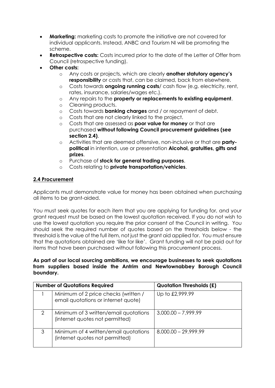- **Marketing:** marketing costs to promote the initiative are not covered for individual applicants. Instead, ANBC and Tourism NI will be promoting the scheme.
- **Retrospective costs:** Costs incurred prior to the date of the Letter of Offer from Council (retrospective funding).
- **Other costs:** 
	- o Any costs or projects, which are clearly **another statutory agency's responsibility** or costs that, can be claimed, back from elsewhere.
	- o Costs towards **ongoing running costs**/ cash flow (e.g. electricity, rent, rates, insurance, salaries/wages etc.).
	- o Any repairs to the **property or replacements to existing equipment**.
	- o Cleaning products.
	- o Costs towards **banking charges** and / or repayment of debt.
	- o Costs that are not clearly linked to the project.
	- o Costs that are assessed as **poor value for money** or that are purchased **without following Council procurement guidelines (see section 2.4)**.
	- o Activities that are deemed offensive, non-inclusive or that are **partypolitical** in intention, use or presentation **Alcohol, gratuities, gifts and prizes**.
	- o Purchase of **stock for general trading purposes**.
	- o Costs relating to **private transportation/vehicles**.

#### **2.4 Procurement**

Applicants must demonstrate value for money has been obtained when purchasing all items to be grant-aided.

You must seek quotes for each item that you are applying for funding for, and your grant request must be based on the lowest quotation received. If you do not wish to use the lowest quotation you require the prior consent of the Council in writing. You should seek the required number of quotes based on the thresholds below - the threshold is the value of the full item, not just the grant aid applied for. You must ensure that the quotations obtained are 'like for like'. Grant funding will not be paid out for items that have been purchased without following this procurement process.

#### **As part of our local sourcing ambitions, we encourage businesses to seek quotations from suppliers based inside the Antrim and Newtownabbey Borough Council boundary.**

| <b>Number of Quotations Required</b> |                                                                             | <b>Quotation Thresholds (£)</b> |
|--------------------------------------|-----------------------------------------------------------------------------|---------------------------------|
|                                      | Minimum of 2 price checks (written /<br>email quotations or internet quote) | Up to £2,999.99                 |
| 2                                    | Minimum of 3 written/email quotations<br>(internet quotes not permitted)    | $3,000.00 - 7,999.99$           |
| 3                                    | Minimum of 4 written/email quotations<br>(internet quotes not permitted)    | $8,000.00 - 29,999.99$          |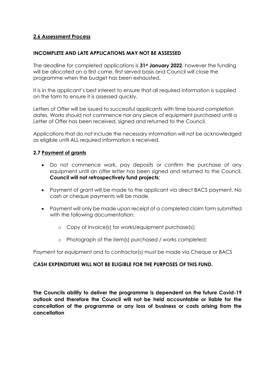### **2.6 Assessment Process**

#### **INCOMPLETE AND LATE APPLICATIONS MAY NOT BE ASSESSED**

The deadline for completed applications is **31st January 2022**, however the funding will be allocated on a first come, first served basis and Council will close the programme when the budget has been exhausted.

It is in the applicant's best interest to ensure that all required information is supplied on the form to ensure it is assessed quickly.

Letters of Offer will be issued to successful applicants with time bound completion dates. Works should not commence nor any piece of equipment purchased until a Letter of Offer has been received, signed and returned to the Council.

Applications that do not include the necessary information will not be acknowledged as eligible until ALL required information is received.

#### **2.7 Payment of grants**

- Do not commence work, pay deposits or confirm the purchase of any equipment until an offer letter has been signed and returned to the Council. **Council will not retrospectively fund projects**;
- Payment of grant will be made to the applicant via direct BACS payment. No cash or cheque payments will be made.
- Payment will only be made upon receipt of a completed claim form submitted with the following documentation:
	- o Copy of invoice(s) for works/equipment purchase(s);
	- o Photograph of the item(s) purchased / works completed;

Payment for equipment and to contractor(s) must be made via Cheque or BACS

#### **CASH EXPENDITURE WILL NOT BE ELIGIBLE FOR THE PURPOSES OF THIS FUND.**

**The Councils ability to deliver the programme is dependent on the future Covid-19 outlook and therefore the Council will not be held accountable or liable for the cancellation of the programme or any loss of business or costs arising from the cancellation**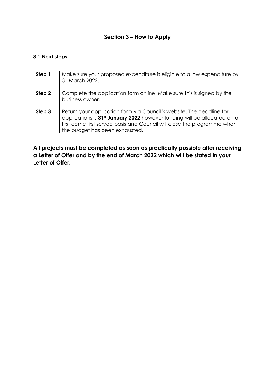## **Section 3 – How to Apply**

## **3.1 Next steps**

| Step 1 | Make sure your proposed expenditure is eligible to allow expenditure by<br>31 March 2022.                                                                                                                                                                                 |
|--------|---------------------------------------------------------------------------------------------------------------------------------------------------------------------------------------------------------------------------------------------------------------------------|
| Step 2 | Complete the application form online. Make sure this is signed by the<br>business owner.                                                                                                                                                                                  |
| Step 3 | Return your application form via Council's website. The deadline for<br>applications is 31 <sup>st</sup> January 2022 however funding will be allocated on a<br>first come first served basis and Council will close the programme when<br>the budget has been exhausted. |

**All projects must be completed as soon as practically possible after receiving a Letter of Offer and by the end of March 2022 which will be stated in your Letter of Offer.**